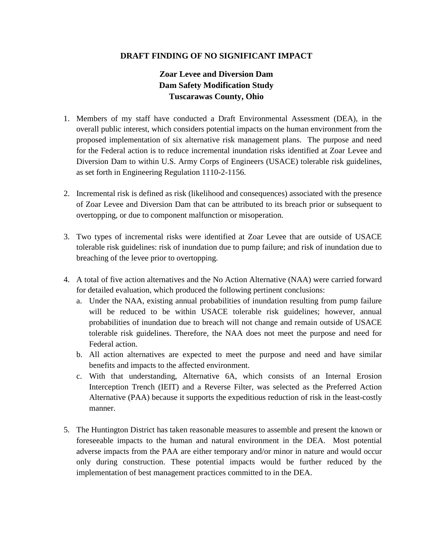## **DRAFT FINDING OF NO SIGNIFICANT IMPACT**

## **Zoar Levee and Diversion Dam Dam Safety Modification Study Tuscarawas County, Ohio**

- 1. Members of my staff have conducted a Draft Environmental Assessment (DEA), in the overall public interest, which considers potential impacts on the human environment from the proposed implementation of six alternative risk management plans. The purpose and need for the Federal action is to reduce incremental inundation risks identified at Zoar Levee and Diversion Dam to within U.S. Army Corps of Engineers (USACE) tolerable risk guidelines, as set forth in Engineering Regulation 1110-2-1156.
- 2. Incremental risk is defined as risk (likelihood and consequences) associated with the presence of Zoar Levee and Diversion Dam that can be attributed to its breach prior or subsequent to overtopping, or due to component malfunction or misoperation.
- 3. Two types of incremental risks were identified at Zoar Levee that are outside of USACE tolerable risk guidelines: risk of inundation due to pump failure; and risk of inundation due to breaching of the levee prior to overtopping.
- 4. A total of five action alternatives and the No Action Alternative (NAA) were carried forward for detailed evaluation, which produced the following pertinent conclusions:
	- a. Under the NAA, existing annual probabilities of inundation resulting from pump failure will be reduced to be within USACE tolerable risk guidelines; however, annual probabilities of inundation due to breach will not change and remain outside of USACE tolerable risk guidelines. Therefore, the NAA does not meet the purpose and need for Federal action.
	- b. All action alternatives are expected to meet the purpose and need and have similar benefits and impacts to the affected environment.
	- c. With that understanding, Alternative 6A, which consists of an Internal Erosion Interception Trench (IEIT) and a Reverse Filter, was selected as the Preferred Action Alternative (PAA) because it supports the expeditious reduction of risk in the least-costly manner.
- 5. The Huntington District has taken reasonable measures to assemble and present the known or foreseeable impacts to the human and natural environment in the DEA. Most potential adverse impacts from the PAA are either temporary and/or minor in nature and would occur only during construction. These potential impacts would be further reduced by the implementation of best management practices committed to in the DEA.